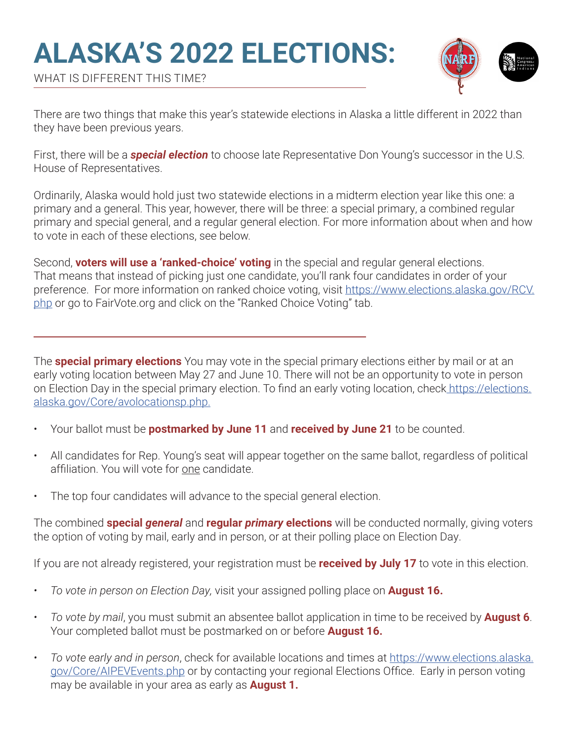# **ALASKA'S 2022 ELECTIONS:**



WHAT IS DIFFERENT THIS TIME?

There are two things that make this year's statewide elections in Alaska a little different in 2022 than they have been previous years.

First, there will be a *special election* to choose late Representative Don Young's successor in the U.S. House of Representatives.

Ordinarily, Alaska would hold just two statewide elections in a midterm election year like this one: a primary and a general. This year, however, there will be three: a special primary, a combined regular primary and special general, and a regular general election. For more information about when and how to vote in each of these elections, see below.

Second, **voters will use a 'ranked-choice' voting** in the special and regular general elections. That means that instead of picking just one candidate, you'll rank four candidates in order of your preference. For more information on ranked choice voting, visit https://www.elections.alaska.gov/RCV. php or go to FairVote.org and click on the "Ranked Choice Voting" tab.

The **special primary elections** You may vote in the special primary elections either by mail or at an early voting location between May 27 and June 10. There will not be an opportunity to vote in person on Election Day in the special primary election. To find an early voting location, check https://elections. alaska.gov/Core/avolocationsp.php.

- Your ballot must be **postmarked by June 11** and **received by June 21** to be counted.
- All candidates for Rep. Young's seat will appear together on the same ballot, regardless of political affiliation. You will vote for one candidate.
- The top four candidates will advance to the special general election.

The combined **special** *general* and **regular** *primary* **elections** will be conducted normally, giving voters the option of voting by mail, early and in person, or at their polling place on Election Day.

If you are not already registered, your registration must be **received by July 17** to vote in this election.

- *• To vote in person on Election Day,* visit your assigned polling place on **August 16.**
- *• To vote by mail*, you must submit an absentee ballot application in time to be received by **August 6**. Your completed ballot must be postmarked on or before **August 16.**
- *• To vote early and in person*, check for available locations and times at https://www.elections.alaska. gov/Core/AIPEVEvents.php or by contacting your regional Elections Office. Early in person voting may be available in your area as early as **August 1.**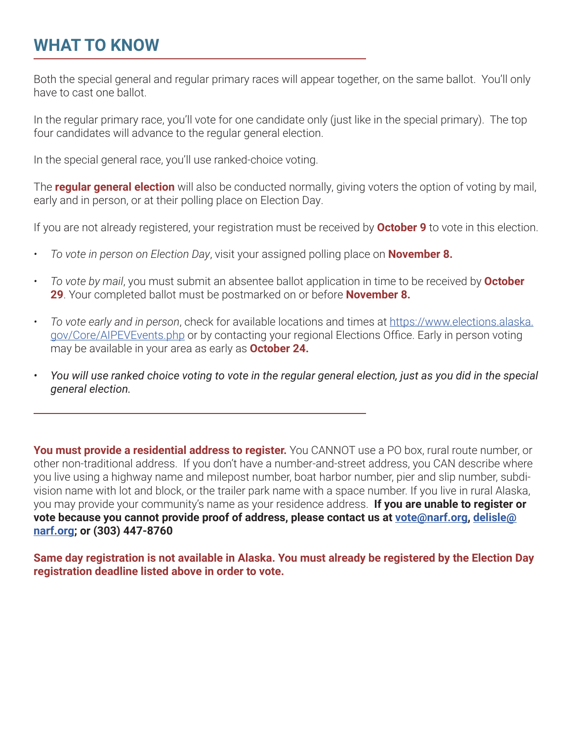### **WHAT TO KNOW**

Both the special general and regular primary races will appear together, on the same ballot. You'll only have to cast one ballot.

In the regular primary race, you'll vote for one candidate only (just like in the special primary). The top four candidates will advance to the regular general election.

In the special general race, you'll use ranked-choice voting.

The **regular general election** will also be conducted normally, giving voters the option of voting by mail, early and in person, or at their polling place on Election Day.

If you are not already registered, your registration must be received by **October 9** to vote in this election.

- *• To vote in person on Election Day*, visit your assigned polling place on **November 8.**
- *• To vote by mail*, you must submit an absentee ballot application in time to be received by **October 29**. Your completed ballot must be postmarked on or before **November 8.**
- *• To vote early and in person*, check for available locations and times at https://www.elections.alaska. gov/Core/AIPEVEvents.php or by contacting your regional Elections Office. Early in person voting may be available in your area as early as **October 24.**
- *• You will use ranked choice voting to vote in the regular general election, just as you did in the special general election.*

**You must provide a residential address to register.** You CANNOT use a PO box, rural route number, or other non-traditional address. If you don't have a number-and-street address, you CAN describe where you live using a highway name and milepost number, boat harbor number, pier and slip number, subdivision name with lot and block, or the trailer park name with a space number. If you live in rural Alaska, you may provide your community's name as your residence address. **If you are unable to register or vote because you cannot provide proof of address, please contact us at vote@narf.org, delisle@ narf.org; or (303) 447-8760**

**Same day registration is not available in Alaska. You must already be registered by the Election Day registration deadline listed above in order to vote.**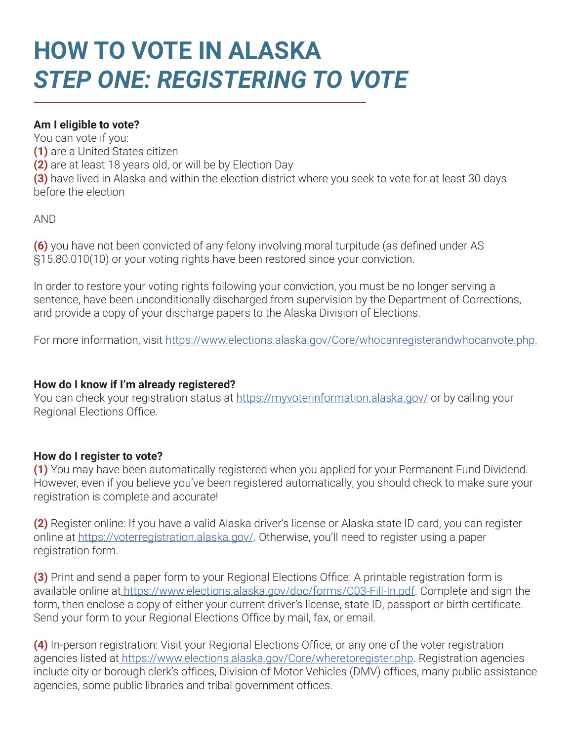## **HOW TO VOTE IN ALASKA** *STEP ONE: REGISTERING TO VOTE*

#### **Am I eligible to vote?**

You can vote if you:

**(1)** are a United States citizen

**(2)** are at least 18 years old, or will be by Election Day

**(3)** have lived in Alaska and within the election district where you seek to vote for at least 30 days before the election

AND

**(6)** you have not been convicted of any felony involving moral turpitude (as defined under AS §15.80.010(10) or your voting rights have been restored since your conviction.

In order to restore your voting rights following your conviction, you must be no longer serving a sentence, have been unconditionally discharged from supervision by the Department of Corrections, and provide a copy of your discharge papers to the Alaska Division of Elections.

For more information, visit https://www.elections.alaska.gov/Core/whocanregisterandwhocanvote.php.

#### **How do I know if I'm already registered?**

You can check your registration status at https://myvoterinformation.alaska.gov/ or by calling your Regional Elections Office.

#### **How do I register to vote?**

**(1)** You may have been automatically registered when you applied for your Permanent Fund Dividend. However, even if you believe you've been registered automatically, you should check to make sure your registration is complete and accurate!

**(2)** Register online: If you have a valid Alaska driver's license or Alaska state ID card, you can register online at https://voterregistration.alaska.gov/. Otherwise, you'll need to register using a paper registration form.

**(3)** Print and send a paper form to your Regional Elections Office: A printable registration form is available online at https://www.elections.alaska.gov/doc/forms/C03-Fill-In.pdf. Complete and sign the form, then enclose a copy of either your current driver's license, state ID, passport or birth certificate. Send your form to your Regional Elections Office by mail, fax, or email.

**(4)** In-person registration: Visit your Regional Elections Office, or any one of the voter registration agencies listed at https://www.elections.alaska.gov/Core/wheretoregister.php. Registration agencies include city or borough clerk's offices, Division of Motor Vehicles (DMV) offices, many public assistance agencies, some public libraries and tribal government offices.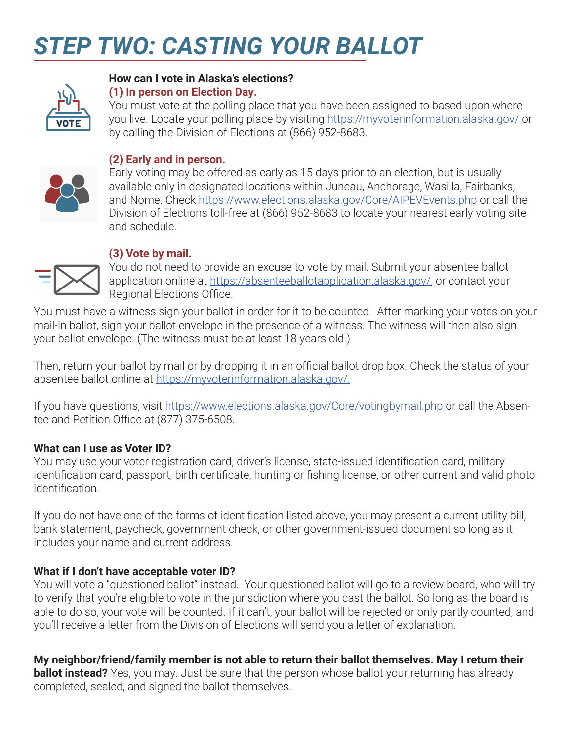## *STEP TWO: CASTING YOUR BALLOT*



#### **How can I vote in Alaska's elections? (1) In person on Election Day.**

You must vote at the polling place that you have been assigned to based upon where you live. Locate your polling place by visiting https://myvoterinformation.alaska.gov/ or by calling the Division of Elections at (866) 952-8683.



#### **(2) Early and in person.**

Early voting may be offered as early as 15 days prior to an election, but is usually available only in designated locations within Juneau, Anchorage, Wasilla, Fairbanks, and Nome. Check https://www.elections.alaska.gov/Core/AIPEVEvents.php or call the Division of Elections toll-free at (866) 952-8683 to locate your nearest early voting site and schedule.



#### **(3) Vote by mail.**

You do not need to provide an excuse to vote by mail. Submit your absentee ballot application online at https://absenteeballotapplication.alaska.gov/, or contact your Regional Elections Office.

You must have a witness sign your ballot in order for it to be counted. After marking your votes on your mail-in ballot, sign your ballot envelope in the presence of a witness. The witness will then also sign your ballot envelope. (The witness must be at least 18 years old.)

Then, return your ballot by mail or by dropping it in an official ballot drop box. Check the status of your absentee ballot online at https://myvoterinformation.alaska.gov/.

If you have questions, visit https://www.elections.alaska.gov/Core/votingbymail.php or call the Absentee and Petition Office at (877) 375-6508.

#### **What can I use as Voter ID?**

You may use your voter registration card, driver's license, state-issued identification card, military identification card, passport, birth certificate, hunting or fishing license, or other current and valid photo identification.

If you do not have one of the forms of identification listed above, you may present a current utility bill, bank statement, paycheck, government check, or other government-issued document so long as it includes your name and current address.

#### **What if I don't have acceptable voter ID?**

You will vote a "questioned ballot" instead. Your questioned ballot will go to a review board, who will try to verify that you're eligible to vote in the jurisdiction where you cast the ballot. So long as the board is able to do so, your vote will be counted. If it can't, your ballot will be rejected or only partly counted, and you'll receive a letter from the Division of Elections will send you a letter of explanation.

**My neighbor/friend/family member is not able to return their ballot themselves. May I return their** 

**ballot instead?** Yes, you may. Just be sure that the person whose ballot your returning has already completed, sealed, and signed the ballot themselves.